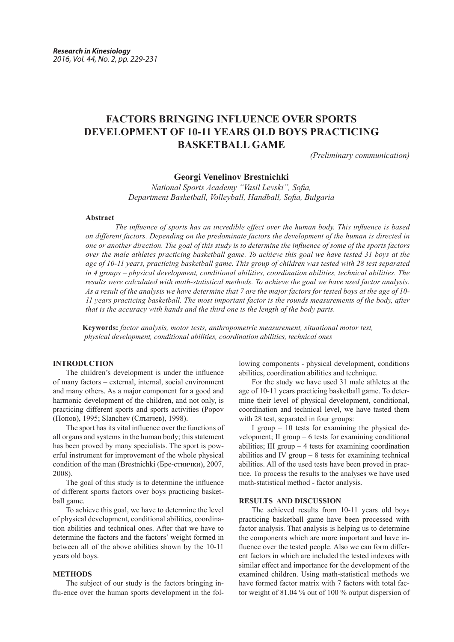# **FACTORS BRINGING INFLUENCE OVER SPORTS DEVELOPMENT OF 10-11 YEARS OLD BOYS PRACTICING BASKETBALL GAME**

*(Preliminary communication)*

## **Georgi Venelinov Brestnichki**

*National Sports Academy "Vasil Levski", Sofia, Department Basketball, Volleyball, Handball, Sofia, Bulgaria*

### **Abstract**

 *The influence of sports has an incredible effect over the human body. This influence is based on different factors. Depending on the predominate factors the development of the human is directed in one or another direction. The goal of this study is to determine the influence of some of the sports factors over the male athletes practicing basketball game. To achieve this goal we have tested 31 boys at the age of 10-11 years, practicing basketball game. This group of children was tested with 28 test separated in 4 groups – physical development, conditional abilities, coordination abilities, technical abilities. The results were calculated with math-statistical methods. To achieve the goal we have used factor analysis. As a result of the analysis we have determine that 7 are the major factors for tested boys at the age of 10- 11 years practicing basketball. The most important factor is the rounds measurements of the body, after that is the accuracy with hands and the third one is the length of the body parts.*

 **Keywords:** *factor analysis, motor tests, anthropometric measurement, situational motor test, physical development, conditional abilities, coordination abilities, technical ones*

# **INTRODUCTION**

The children's development is under the influence of many factors – external, internal, social environment and many others. As a major component for a good and harmonic development of the children, and not only, is practicing different sports and sports activities (Popov (Попов), 1995; Slanchev (Слънчев), 1998).

The sport has its vital influence over the functions of all organs and systems in the human body; this statement has been proved by many specialists. The sport is powerful instrument for improvement of the whole physical condition of the man (Brestnichki (Бре-стнички), 2007, 2008).

The goal of this study is to determine the influence of different sports factors over boys practicing basketball game.

To achieve this goal, we have to determine the level of physical development, conditional abilities, coordination abilities and technical ones. After that we have to determine the factors and the factors' weight formed in between all of the above abilities shown by the 10-11 years old boys.

## **METHODS**

The subject of our study is the factors bringing influ-ence over the human sports development in the fol-

lowing components - physical development, conditions abilities, coordination abilities and technique.

For the study we have used 31 male athletes at the age of 10-11 years practicing basketball game. To determine their level of physical development, conditional, coordination and technical level, we have tasted them with 28 test, separated in four groups:

I group – 10 tests for examining the physical development; II group – 6 tests for examining conditional abilities; III group – 4 tests for examining coordination abilities and IV group – 8 tests for examining technical abilities. All of the used tests have been proved in practice. To process the results to the analyses we have used math-statistical method - factor analysis.

## **RESULTS AND DISCUSSION**

The achieved results from 10-11 years old boys practicing basketball game have been processed with factor analysis. That analysis is helping us to determine the components which are more important and have influence over the tested people. Also we can form different factors in which are included the tested indexes with similar effect and importance for the development of the examined children. Using math-statistical methods we have formed factor matrix with 7 factors with total factor weight of 81.04 % out of 100 % output dispersion of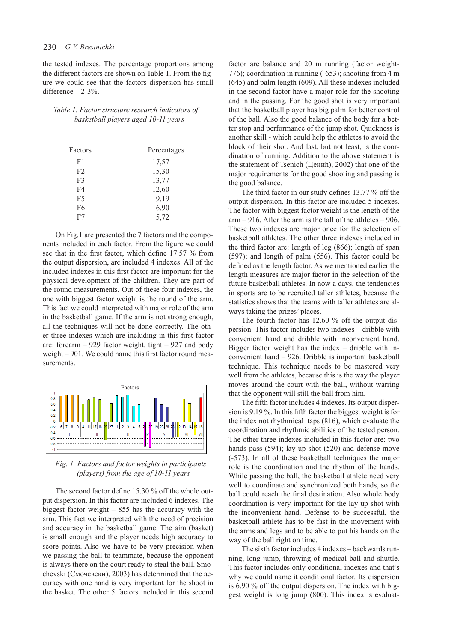the tested indexes. The percentage proportions among the different factors are shown on Table 1. From the figure we could see that the factors dispersion has small difference  $-2-3%$ .

# *Table 1. Factor structure research indicators of basketball players aged 10-11 years*

| Factors        | Percentages |
|----------------|-------------|
| F1             | 17,57       |
| F <sub>2</sub> | 15,30       |
| F3             | 13,77       |
| F4             | 12,60       |
| F5             | 9,19        |
| F6             | 6,90        |
| F7             | 5,72        |

On Fig.1 are presented the 7 factors and the components included in each factor. From the figure we could see that in the first factor, which define 17.57 % from the output dispersion, are included 4 indexes. All of the included indexes in this first factor are important for the physical development of the children. They are part of the round measurements. Out of these four indexes, the one with biggest factor weight is the round of the arm. This fact we could interpreted with major role of the arm in the basketball game. If the arm is not strong enough, all the techniques will not be done correctly. The other three indexes which are including in this first factor are: forearm  $-929$  factor weight, tight  $-927$  and body weight – 901. We could name this first factor round measurements.



 *Fig. 1. Factors and factor weights in participants (players) from the age of 10-11 years*

The second factor define 15.30 % off the whole output dispersion. In this factor are included 6 indexes. The biggest factor weight – 855 has the accuracy with the arm. This fact we interpreted with the need of precision and accuracy in the basketball game. The aim (basket) is small enough and the player needs high accuracy to score points. Also we have to be very precision when we passing the ball to teammate, because the opponent is always there on the court ready to steal the ball. Smochevski (Смочевски), 2003) has determined that the accuracy with one hand is very important for the shoot in the basket. The other 5 factors included in this second

factor are balance and 20 m running (factor weight-776); coordination in running (-653); shooting from 4 m (645) and palm length (609). All these indexes included in the second factor have a major role for the shooting and in the passing. For the good shot is very important that the basketball player has big palm for better control of the ball. Also the good balance of the body for a better stop and performance of the jump shot. Quickness is another skill - which could help the athletes to avoid the block of their shot. And last, but not least, is the coordination of running. Addition to the above statement is the statement of Tsenich (Ценић), 2002) that one of the major requirements for the good shooting and passing is the good balance.

The third factor in our study defines 13.77 % off the output dispersion. In this factor are included 5 indexes. The factor with biggest factor weight is the length of the arm – 916. After the arm is the tall of the athletes – 906. These two indexes are major once for the selection of basketball athletes. The other three indexes included in the third factor are: length of leg (866); length of span (597); and length of palm (556). This factor could be defined as the length factor. As we mentioned earlier the length measures are major factor in the selection of the future basketball athletes. In now a days, the tendencies in sports are to be recruited taller athletes, because the statistics shows that the teams with taller athletes are always taking the prizes' places.

The fourth factor has 12.60 % off the output dispersion. This factor includes two indexes – dribble with convenient hand and dribble with inconvenient hand. Bigger factor weight has the index – dribble with inconvenient hand – 926. Dribble is important basketball technique. This technique needs to be mastered very well from the athletes, because this is the way the player moves around the court with the ball, without warring that the opponent will still the ball from him.

The fifth factor includes 4 indexes. Its output dispersion is 9.19 %. In this fifth factor the biggest weight is for the index not rhythmical taps (816), which evaluate the coordination and rhythmic abilities of the tested person. The other three indexes included in this factor are: two hands pass (594); lay up shot (520) and defense move (-573). In all of these basketball techniques the major role is the coordination and the rhythm of the hands. While passing the ball, the basketball athlete need very well to coordinate and synchronized both hands, so the ball could reach the final destination. Also whole body coordination is very important for the lay up shot with the inconvenient hand. Defense to be successful, the basketball athlete has to be fast in the movement with the arms and legs and to be able to put his hands on the way of the ball right on time.

The sixth factor includes 4 indexes – backwards running, long jump, throwing of medical ball and shuttle. This factor includes only conditional indexes and that's why we could name it conditional factor. Its dispersion is 6.90 % off the output dispersion. The index with biggest weight is long jump (800). This index is evaluat-